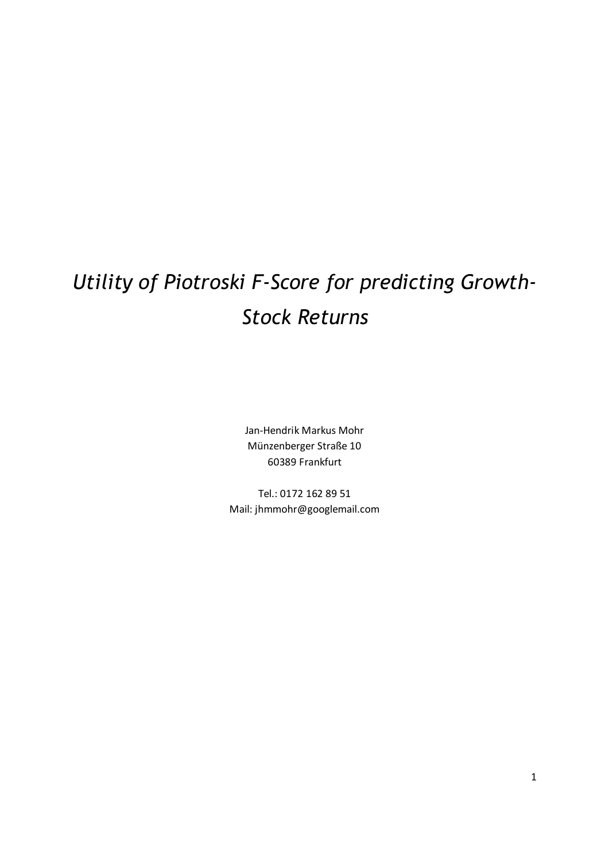# *Utility of Piotroski F-Score for predicting Growth-Stock Returns*

Jan-Hendrik Markus Mohr Münzenberger Straße 10 60389 Frankfurt

Tel.: 0172 162 89 51 Mail: jhmmohr@googlemail.com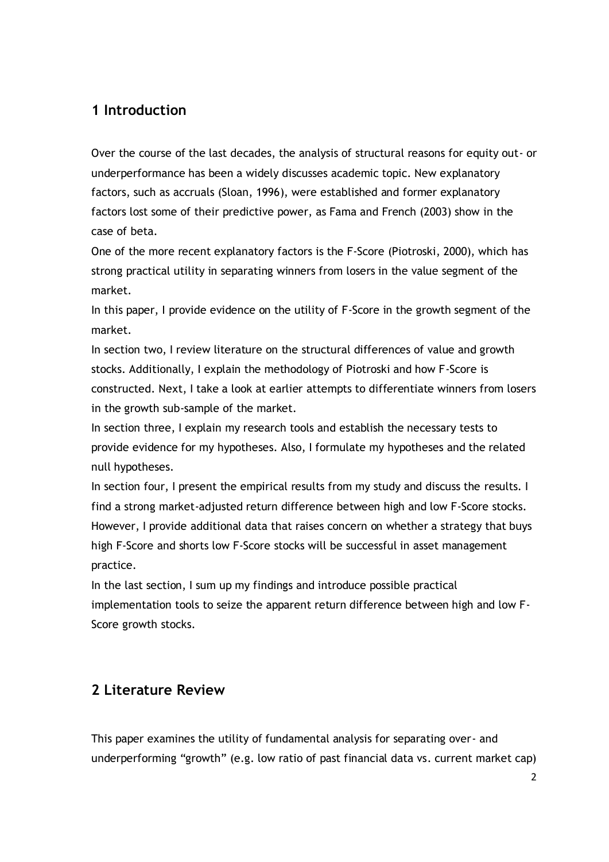# **1 Introduction**

Over the course of the last decades, the analysis of structural reasons for equity out- or underperformance has been a widely discusses academic topic. New explanatory factors, such as accruals (Sloan, 1996), were established and former explanatory factors lost some of their predictive power, as Fama and French (2003) show in the case of beta.

One of the more recent explanatory factors is the F-Score (Piotroski, 2000), which has strong practical utility in separating winners from losers in the value segment of the market.

In this paper, I provide evidence on the utility of F-Score in the growth segment of the market.

In section two, I review literature on the structural differences of value and growth stocks. Additionally, I explain the methodology of Piotroski and how F-Score is constructed. Next, I take a look at earlier attempts to differentiate winners from losers in the growth sub-sample of the market.

In section three, I explain my research tools and establish the necessary tests to provide evidence for my hypotheses. Also, I formulate my hypotheses and the related null hypotheses.

In section four, I present the empirical results from my study and discuss the results. I find a strong market-adjusted return difference between high and low F-Score stocks. However, I provide additional data that raises concern on whether a strategy that buys high F-Score and shorts low F-Score stocks will be successful in asset management practice.

In the last section, I sum up my findings and introduce possible practical implementation tools to seize the apparent return difference between high and low F-Score growth stocks.

# **2 Literature Review**

This paper examines the utility of fundamental analysis for separating over- and underperforming "growth" (e.g. low ratio of past financial data vs. current market cap)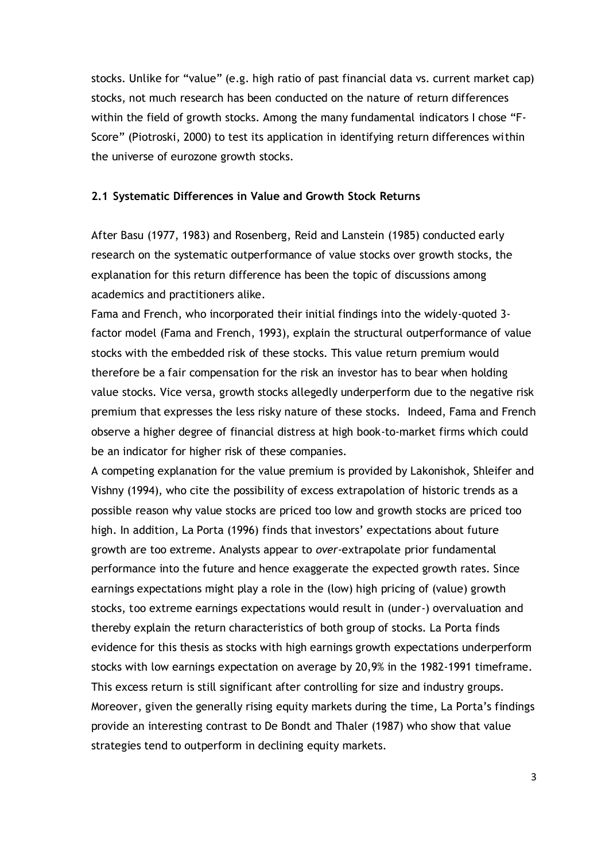stocks. Unlike for "value" (e.g. high ratio of past financial data vs. current market cap) stocks, not much research has been conducted on the nature of return differences within the field of growth stocks. Among the many fundamental indicators I chose "F-Score" (Piotroski, 2000) to test its application in identifying return differences within the universe of eurozone growth stocks.

#### **2.1 Systematic Differences in Value and Growth Stock Returns**

After Basu (1977, 1983) and Rosenberg, Reid and Lanstein (1985) conducted early research on the systematic outperformance of value stocks over growth stocks, the explanation for this return difference has been the topic of discussions among academics and practitioners alike.

Fama and French, who incorporated their initial findings into the widely-quoted 3 factor model (Fama and French, 1993), explain the structural outperformance of value stocks with the embedded risk of these stocks. This value return premium would therefore be a fair compensation for the risk an investor has to bear when holding value stocks. Vice versa, growth stocks allegedly underperform due to the negative risk premium that expresses the less risky nature of these stocks. Indeed, Fama and French observe a higher degree of financial distress at high book-to-market firms which could be an indicator for higher risk of these companies.

A competing explanation for the value premium is provided by Lakonishok, Shleifer and Vishny (1994), who cite the possibility of excess extrapolation of historic trends as a possible reason why value stocks are priced too low and growth stocks are priced too high. In addition, La Porta (1996) finds that investors' expectations about future growth are too extreme. Analysts appear to *over*-extrapolate prior fundamental performance into the future and hence exaggerate the expected growth rates. Since earnings expectations might play a role in the (low) high pricing of (value) growth stocks, too extreme earnings expectations would result in (under-) overvaluation and thereby explain the return characteristics of both group of stocks. La Porta finds evidence for this thesis as stocks with high earnings growth expectations underperform stocks with low earnings expectation on average by 20,9% in the 1982-1991 timeframe. This excess return is still significant after controlling for size and industry groups. Moreover, given the generally rising equity markets during the time, La Porta's findings provide an interesting contrast to De Bondt and Thaler (1987) who show that value strategies tend to outperform in declining equity markets.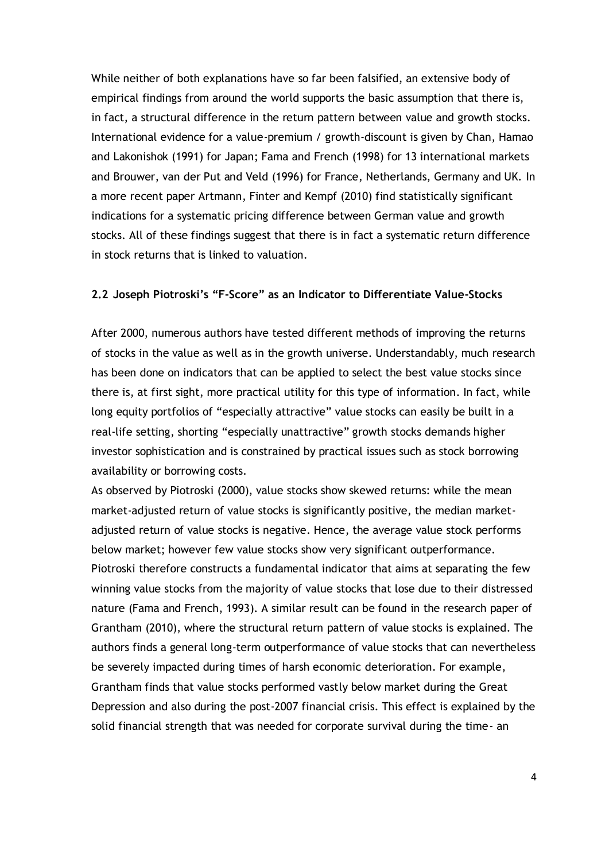While neither of both explanations have so far been falsified, an extensive body of empirical findings from around the world supports the basic assumption that there is, in fact, a structural difference in the return pattern between value and growth stocks. International evidence for a value-premium / growth-discount is given by Chan, Hamao and Lakonishok (1991) for Japan; Fama and French (1998) for 13 international markets and Brouwer, van der Put and Veld (1996) for France, Netherlands, Germany and UK. In a more recent paper Artmann, Finter and Kempf (2010) find statistically significant indications for a systematic pricing difference between German value and growth stocks. All of these findings suggest that there is in fact a systematic return difference in stock returns that is linked to valuation.

#### **2.2 Joseph Piotroski's "F-Score" as an Indicator to Differentiate Value-Stocks**

After 2000, numerous authors have tested different methods of improving the returns of stocks in the value as well as in the growth universe. Understandably, much research has been done on indicators that can be applied to select the best value stocks since there is, at first sight, more practical utility for this type of information. In fact, while long equity portfolios of "especially attractive" value stocks can easily be built in a real-life setting, shorting "especially unattractive" growth stocks demands higher investor sophistication and is constrained by practical issues such as stock borrowing availability or borrowing costs.

As observed by Piotroski (2000), value stocks show skewed returns: while the mean market-adjusted return of value stocks is significantly positive, the median marketadjusted return of value stocks is negative. Hence, the average value stock performs below market; however few value stocks show very significant outperformance. Piotroski therefore constructs a fundamental indicator that aims at separating the few winning value stocks from the majority of value stocks that lose due to their distressed nature (Fama and French, 1993). A similar result can be found in the research paper of Grantham (2010), where the structural return pattern of value stocks is explained. The authors finds a general long-term outperformance of value stocks that can nevertheless be severely impacted during times of harsh economic deterioration. For example, Grantham finds that value stocks performed vastly below market during the Great Depression and also during the post-2007 financial crisis. This effect is explained by the solid financial strength that was needed for corporate survival during the time- an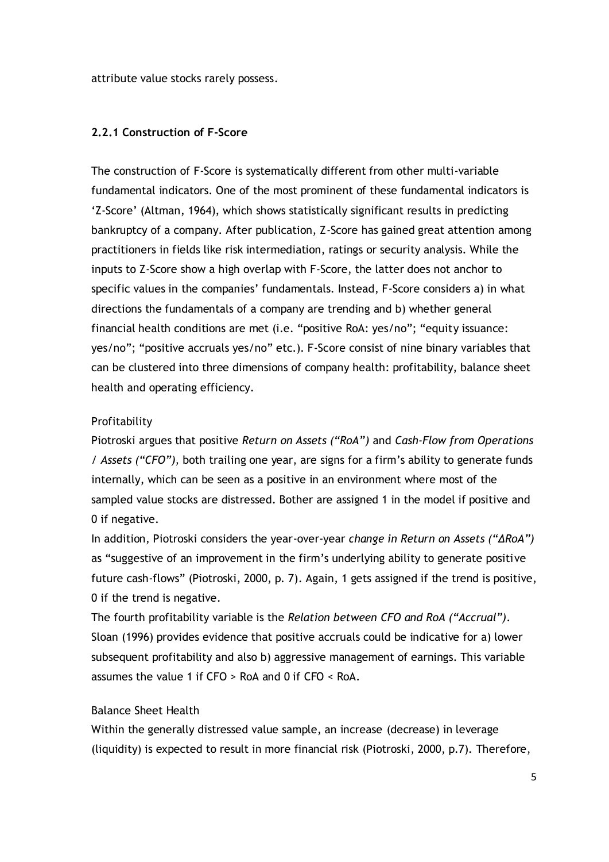attribute value stocks rarely possess.

#### **2.2.1 Construction of F-Score**

The construction of F-Score is systematically different from other multi-variable fundamental indicators. One of the most prominent of these fundamental indicators is 'Z-Score' (Altman, 1964), which shows statistically significant results in predicting bankruptcy of a company. After publication, Z-Score has gained great attention among practitioners in fields like risk intermediation, ratings or security analysis. While the inputs to Z-Score show a high overlap with F-Score, the latter does not anchor to specific values in the companies' fundamentals. Instead, F-Score considers a) in what directions the fundamentals of a company are trending and b) whether general financial health conditions are met (i.e. "positive RoA: yes/no"; "equity issuance: yes/no"; "positive accruals yes/no" etc.). F-Score consist of nine binary variables that can be clustered into three dimensions of company health: profitability, balance sheet health and operating efficiency.

#### Profitability

Piotroski argues that positive *Return on Assets ("RoA")* and *Cash-Flow from Operations / Assets ("CFO"),* both trailing one year, are signs for a firm's ability to generate funds internally, which can be seen as a positive in an environment where most of the sampled value stocks are distressed. Bother are assigned 1 in the model if positive and 0 if negative.

In addition, Piotroski considers the year-over-year *change in Return on Assets ("ΔRoA")* as "suggestive of an improvement in the firm's underlying ability to generate positive future cash-flows" (Piotroski, 2000, p. 7). Again, 1 gets assigned if the trend is positive, 0 if the trend is negative.

The fourth profitability variable is the *Relation between CFO and RoA ("Accrual")*. Sloan (1996) provides evidence that positive accruals could be indicative for a) lower subsequent profitability and also b) aggressive management of earnings. This variable assumes the value 1 if CFO > RoA and 0 if CFO < RoA.

#### Balance Sheet Health

Within the generally distressed value sample, an increase (decrease) in leverage (liquidity) is expected to result in more financial risk (Piotroski, 2000, p.7). Therefore,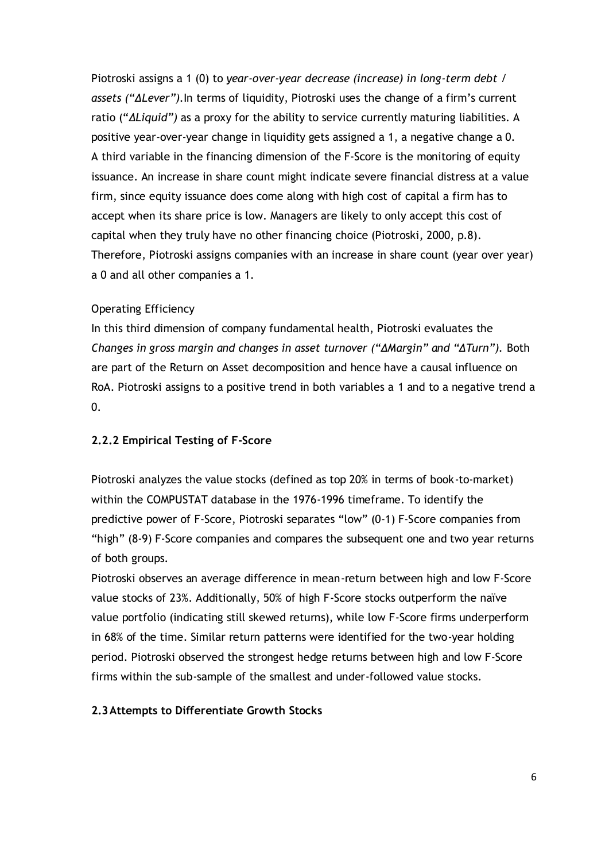Piotroski assigns a 1 (0) to *year-over-year decrease (increase) in long-term debt / assets ("ΔLever").*In terms of liquidity, Piotroski uses the change of a firm's current ratio ("*ΔLiquid")* as a proxy for the ability to service currently maturing liabilities. A positive year-over-year change in liquidity gets assigned a 1, a negative change a 0. A third variable in the financing dimension of the F-Score is the monitoring of equity issuance. An increase in share count might indicate severe financial distress at a value firm, since equity issuance does come along with high cost of capital a firm has to accept when its share price is low. Managers are likely to only accept this cost of capital when they truly have no other financing choice (Piotroski, 2000, p.8). Therefore, Piotroski assigns companies with an increase in share count (year over year) a 0 and all other companies a 1.

#### Operating Efficiency

In this third dimension of company fundamental health, Piotroski evaluates the *Changes in gross margin and changes in asset turnover ("ΔMargin" and "ΔTurn").* Both are part of the Return on Asset decomposition and hence have a causal influence on RoA. Piotroski assigns to a positive trend in both variables a 1 and to a negative trend a 0.

#### **2.2.2 Empirical Testing of F-Score**

Piotroski analyzes the value stocks (defined as top 20% in terms of book-to-market) within the COMPUSTAT database in the 1976-1996 timeframe. To identify the predictive power of F-Score, Piotroski separates "low" (0-1) F-Score companies from "high" (8-9) F-Score companies and compares the subsequent one and two year returns of both groups.

Piotroski observes an average difference in mean-return between high and low F-Score value stocks of 23%. Additionally, 50% of high F-Score stocks outperform the naïve value portfolio (indicating still skewed returns), while low F-Score firms underperform in 68% of the time. Similar return patterns were identified for the two-year holding period. Piotroski observed the strongest hedge returns between high and low F-Score firms within the sub-sample of the smallest and under-followed value stocks.

#### **2.3Attempts to Differentiate Growth Stocks**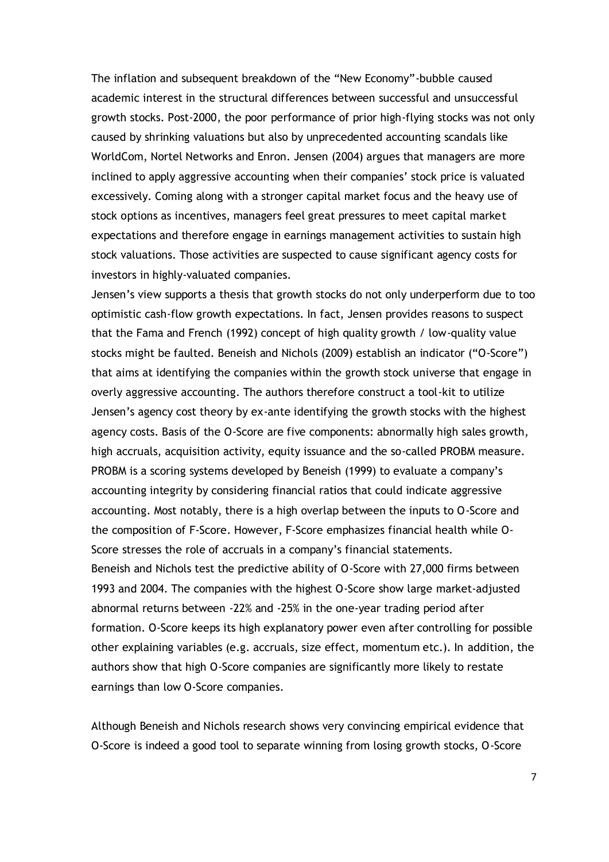The inflation and subsequent breakdown of the "New Economy"-bubble caused academic interest in the structural differences between successful and unsuccessful growth stocks. Post-2000, the poor performance of prior high-flying stocks was not only caused by shrinking valuations but also by unprecedented accounting scandals like WorldCom, Nortel Networks and Enron. Jensen (2004) argues that managers are more inclined to apply aggressive accounting when their companies' stock price is valuated excessively. Coming along with a stronger capital market focus and the heavy use of stock options as incentives, managers feel great pressures to meet capital market expectations and therefore engage in earnings management activities to sustain high stock valuations. Those activities are suspected to cause significant agency costs for investors in highly-valuated companies.

Jensen's view supports a thesis that growth stocks do not only underperform due to too optimistic cash-flow growth expectations. In fact, Jensen provides reasons to suspect that the Fama and French (1992) concept of high quality growth / low-quality value stocks might be faulted. Beneish and Nichols (2009) establish an indicator ("O-Score") that aims at identifying the companies within the growth stock universe that engage in overly aggressive accounting. The authors therefore construct a tool-kit to utilize Jensen's agency cost theory by ex-ante identifying the growth stocks with the highest agency costs. Basis of the O-Score are five components: abnormally high sales growth, high accruals, acquisition activity, equity issuance and the so-called PROBM measure. PROBM is a scoring systems developed by Beneish (1999) to evaluate a company's accounting integrity by considering financial ratios that could indicate aggressive accounting. Most notably, there is a high overlap between the inputs to O-Score and the composition of F-Score. However, F-Score emphasizes financial health while O-Score stresses the role of accruals in a company's financial statements. Beneish and Nichols test the predictive ability of O-Score with 27,000 firms between 1993 and 2004. The companies with the highest O-Score show large market-adjusted abnormal returns between -22% and -25% in the one-year trading period after formation. O-Score keeps its high explanatory power even after controlling for possible other explaining variables (e.g. accruals, size effect, momentum etc.). In addition, the authors show that high O-Score companies are significantly more likely to restate earnings than low O-Score companies.

Although Beneish and Nichols research shows very convincing empirical evidence that O-Score is indeed a good tool to separate winning from losing growth stocks, O-Score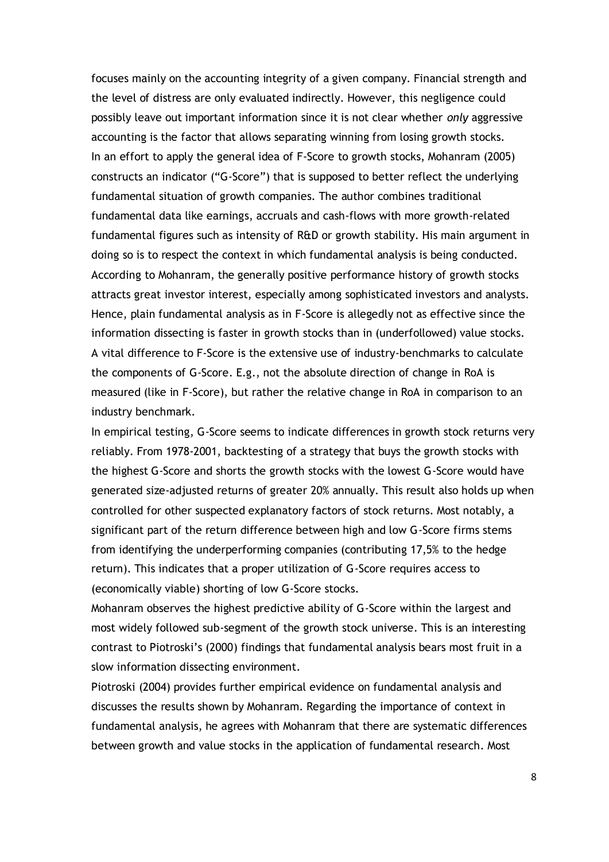focuses mainly on the accounting integrity of a given company. Financial strength and the level of distress are only evaluated indirectly. However, this negligence could possibly leave out important information since it is not clear whether *only* aggressive accounting is the factor that allows separating winning from losing growth stocks. In an effort to apply the general idea of F-Score to growth stocks, Mohanram (2005) constructs an indicator ("G-Score") that is supposed to better reflect the underlying fundamental situation of growth companies. The author combines traditional fundamental data like earnings, accruals and cash-flows with more growth-related fundamental figures such as intensity of R&D or growth stability. His main argument in doing so is to respect the context in which fundamental analysis is being conducted. According to Mohanram, the generally positive performance history of growth stocks attracts great investor interest, especially among sophisticated investors and analysts. Hence, plain fundamental analysis as in F-Score is allegedly not as effective since the information dissecting is faster in growth stocks than in (underfollowed) value stocks. A vital difference to F-Score is the extensive use of industry-benchmarks to calculate the components of G-Score. E.g., not the absolute direction of change in RoA is measured (like in F-Score), but rather the relative change in RoA in comparison to an industry benchmark.

In empirical testing, G-Score seems to indicate differences in growth stock returns very reliably. From 1978-2001, backtesting of a strategy that buys the growth stocks with the highest G-Score and shorts the growth stocks with the lowest G-Score would have generated size-adjusted returns of greater 20% annually. This result also holds up when controlled for other suspected explanatory factors of stock returns. Most notably, a significant part of the return difference between high and low G-Score firms stems from identifying the underperforming companies (contributing 17,5% to the hedge return). This indicates that a proper utilization of G-Score requires access to (economically viable) shorting of low G-Score stocks.

Mohanram observes the highest predictive ability of G-Score within the largest and most widely followed sub-segment of the growth stock universe. This is an interesting contrast to Piotroski's (2000) findings that fundamental analysis bears most fruit in a slow information dissecting environment.

Piotroski (2004) provides further empirical evidence on fundamental analysis and discusses the results shown by Mohanram. Regarding the importance of context in fundamental analysis, he agrees with Mohanram that there are systematic differences between growth and value stocks in the application of fundamental research. Most

8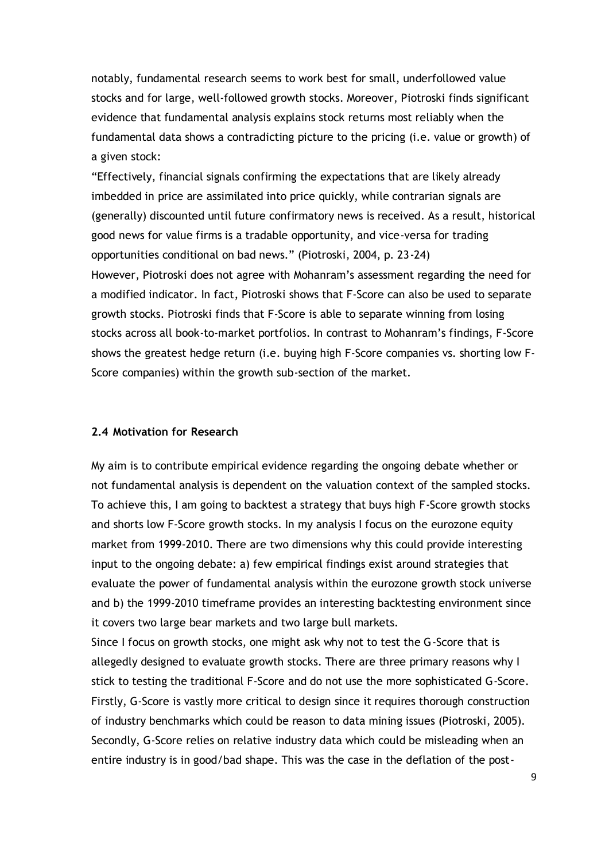notably, fundamental research seems to work best for small, underfollowed value stocks and for large, well-followed growth stocks. Moreover, Piotroski finds significant evidence that fundamental analysis explains stock returns most reliably when the fundamental data shows a contradicting picture to the pricing (i.e. value or growth) of a given stock:

"Effectively, financial signals confirming the expectations that are likely already imbedded in price are assimilated into price quickly, while contrarian signals are (generally) discounted until future confirmatory news is received. As a result, historical good news for value firms is a tradable opportunity, and vice-versa for trading opportunities conditional on bad news." (Piotroski, 2004, p. 23-24) However, Piotroski does not agree with Mohanram's assessment regarding the need for a modified indicator. In fact, Piotroski shows that F-Score can also be used to separate growth stocks. Piotroski finds that F-Score is able to separate winning from losing stocks across all book-to-market portfolios. In contrast to Mohanram's findings, F-Score shows the greatest hedge return (i.e. buying high F-Score companies vs. shorting low F-Score companies) within the growth sub-section of the market.

## **2.4 Motivation for Research**

My aim is to contribute empirical evidence regarding the ongoing debate whether or not fundamental analysis is dependent on the valuation context of the sampled stocks. To achieve this, I am going to backtest a strategy that buys high F-Score growth stocks and shorts low F-Score growth stocks. In my analysis I focus on the eurozone equity market from 1999-2010. There are two dimensions why this could provide interesting input to the ongoing debate: a) few empirical findings exist around strategies that evaluate the power of fundamental analysis within the eurozone growth stock universe and b) the 1999-2010 timeframe provides an interesting backtesting environment since it covers two large bear markets and two large bull markets.

Since I focus on growth stocks, one might ask why not to test the G-Score that is allegedly designed to evaluate growth stocks. There are three primary reasons why I stick to testing the traditional F-Score and do not use the more sophisticated G-Score. Firstly, G-Score is vastly more critical to design since it requires thorough construction of industry benchmarks which could be reason to data mining issues (Piotroski, 2005). Secondly, G-Score relies on relative industry data which could be misleading when an entire industry is in good/bad shape. This was the case in the deflation of the post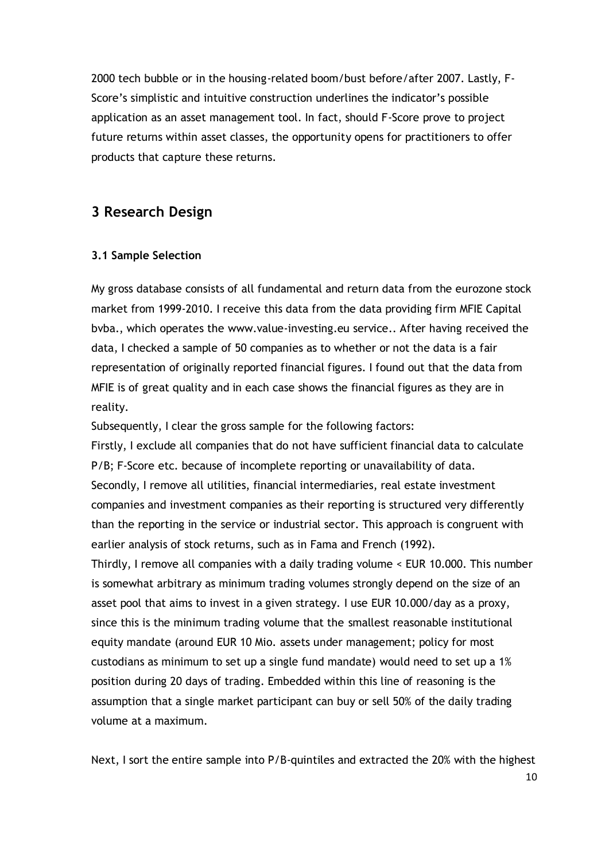2000 tech bubble or in the housing-related boom/bust before/after 2007. Lastly, F-Score's simplistic and intuitive construction underlines the indicator's possible application as an asset management tool. In fact, should F-Score prove to project future returns within asset classes, the opportunity opens for practitioners to offer products that capture these returns.

## **3 Research Design**

#### **3.1 Sample Selection**

My gross database consists of all fundamental and return data from the eurozone stock market from 1999-2010. I receive this data from the data providing firm MFIE Capital bvba., which operates the www.value-investing.eu service.. After having received the data, I checked a sample of 50 companies as to whether or not the data is a fair representation of originally reported financial figures. I found out that the data from MFIE is of great quality and in each case shows the financial figures as they are in reality.

Subsequently, I clear the gross sample for the following factors:

Firstly, I exclude all companies that do not have sufficient financial data to calculate P/B; F-Score etc. because of incomplete reporting or unavailability of data. Secondly, I remove all utilities, financial intermediaries, real estate investment companies and investment companies as their reporting is structured very differently than the reporting in the service or industrial sector. This approach is congruent with earlier analysis of stock returns, such as in Fama and French (1992).

Thirdly, I remove all companies with a daily trading volume < EUR 10.000. This number is somewhat arbitrary as minimum trading volumes strongly depend on the size of an asset pool that aims to invest in a given strategy. I use EUR 10.000/day as a proxy, since this is the minimum trading volume that the smallest reasonable institutional equity mandate (around EUR 10 Mio. assets under management; policy for most custodians as minimum to set up a single fund mandate) would need to set up a 1% position during 20 days of trading. Embedded within this line of reasoning is the assumption that a single market participant can buy or sell 50% of the daily trading volume at a maximum.

Next, I sort the entire sample into P/B-quintiles and extracted the 20% with the highest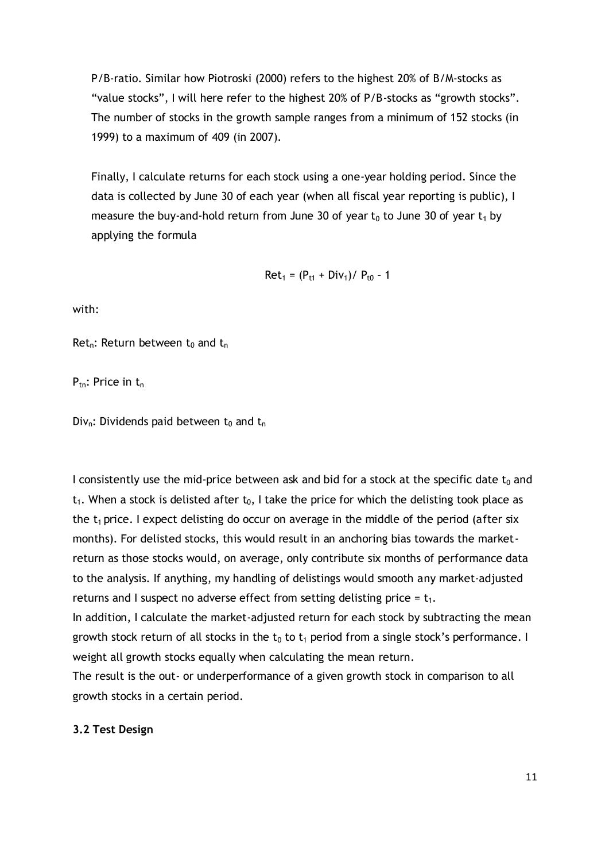P/B-ratio. Similar how Piotroski (2000) refers to the highest 20% of B/M-stocks as "value stocks", I will here refer to the highest 20% of P/B-stocks as "growth stocks". The number of stocks in the growth sample ranges from a minimum of 152 stocks (in 1999) to a maximum of 409 (in 2007).

Finally, I calculate returns for each stock using a one-year holding period. Since the data is collected by June 30 of each year (when all fiscal year reporting is public), I measure the buy-and-hold return from June 30 of year  $t_0$  to June 30 of year  $t_1$  by applying the formula

$$
Ret_1 = (P_{t1} + Div_1) / P_{t0} - 1
$$

with:

Ret<sub>n</sub>: Return between t<sub>0</sub> and t<sub>n</sub>

 $P_{tn}$ : Price in  $t_n$ 

Div<sub>n</sub>: Dividends paid between  $t_0$  and  $t_n$ 

I consistently use the mid-price between ask and bid for a stock at the specific date  $t_0$  and  $t_1$ . When a stock is delisted after  $t_0$ , I take the price for which the delisting took place as the  $t_1$  price. I expect delisting do occur on average in the middle of the period (after six months). For delisted stocks, this would result in an anchoring bias towards the marketreturn as those stocks would, on average, only contribute six months of performance data to the analysis. If anything, my handling of delistings would smooth any market-adjusted returns and I suspect no adverse effect from setting delisting price =  $t_1$ .

In addition, I calculate the market-adjusted return for each stock by subtracting the mean growth stock return of all stocks in the  $t_0$  to  $t_1$  period from a single stock's performance. I weight all growth stocks equally when calculating the mean return.

The result is the out- or underperformance of a given growth stock in comparison to all growth stocks in a certain period.

#### **3.2 Test Design**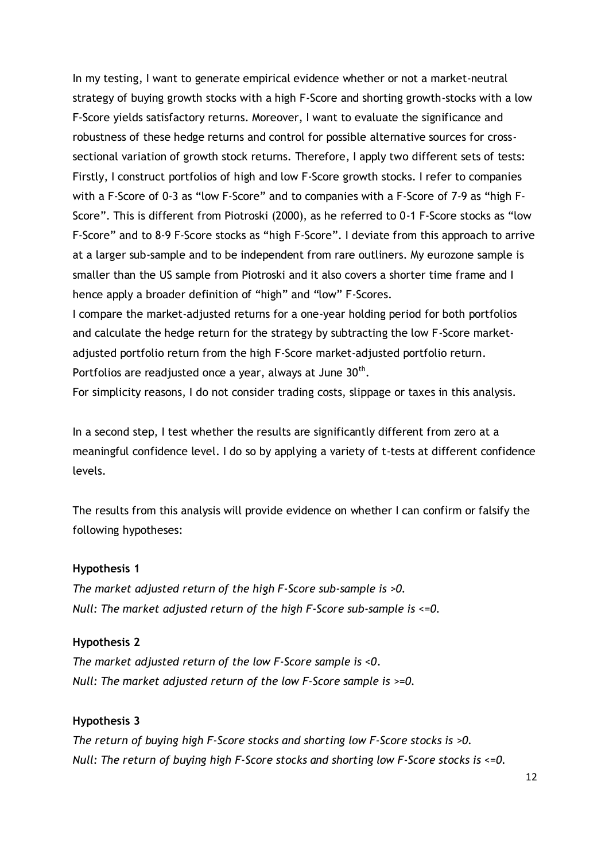In my testing, I want to generate empirical evidence whether or not a market-neutral strategy of buying growth stocks with a high F-Score and shorting growth-stocks with a low F-Score yields satisfactory returns. Moreover, I want to evaluate the significance and robustness of these hedge returns and control for possible alternative sources for crosssectional variation of growth stock returns. Therefore, I apply two different sets of tests: Firstly, I construct portfolios of high and low F-Score growth stocks. I refer to companies with a F-Score of 0-3 as "low F-Score" and to companies with a F-Score of 7-9 as "high F-Score". This is different from Piotroski (2000), as he referred to 0-1 F-Score stocks as "low F-Score" and to 8-9 F-Score stocks as "high F-Score". I deviate from this approach to arrive at a larger sub-sample and to be independent from rare outliners. My eurozone sample is smaller than the US sample from Piotroski and it also covers a shorter time frame and I hence apply a broader definition of "high" and "low" F-Scores.

I compare the market-adjusted returns for a one-year holding period for both portfolios and calculate the hedge return for the strategy by subtracting the low F-Score marketadjusted portfolio return from the high F-Score market-adjusted portfolio return. Portfolios are readjusted once a year, always at June 30<sup>th</sup>.

For simplicity reasons, I do not consider trading costs, slippage or taxes in this analysis.

In a second step, I test whether the results are significantly different from zero at a meaningful confidence level. I do so by applying a variety of t-tests at different confidence levels.

The results from this analysis will provide evidence on whether I can confirm or falsify the following hypotheses:

#### **Hypothesis 1**

*The market adjusted return of the high F-Score sub-sample is >0. Null: The market adjusted return of the high F-Score sub-sample is <=0.*

#### **Hypothesis 2**

*The market adjusted return of the low F-Score sample is <0. Null: The market adjusted return of the low F-Score sample is >=0.*

#### **Hypothesis 3**

*The return of buying high F-Score stocks and shorting low F-Score stocks is >0. Null: The return of buying high F-Score stocks and shorting low F-Score stocks is <=0.*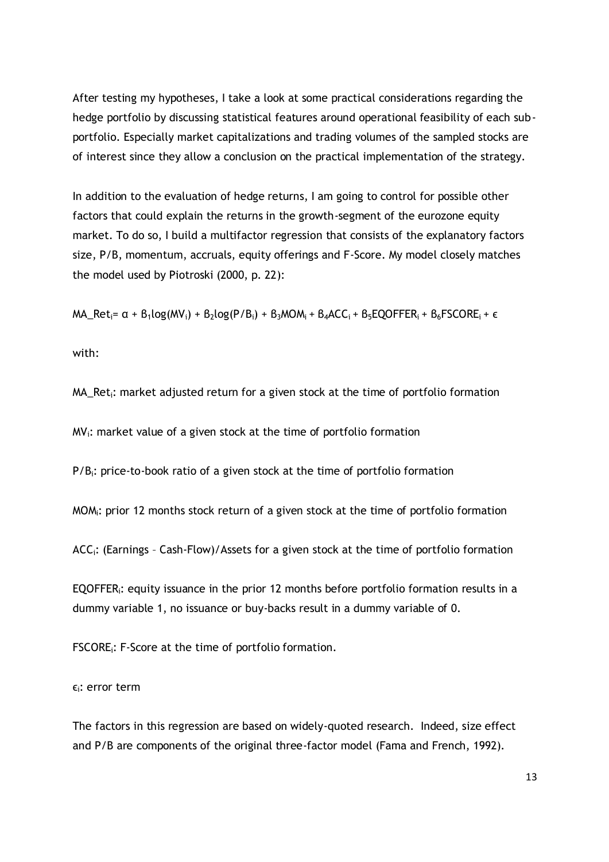After testing my hypotheses, I take a look at some practical considerations regarding the hedge portfolio by discussing statistical features around operational feasibility of each subportfolio. Especially market capitalizations and trading volumes of the sampled stocks are of interest since they allow a conclusion on the practical implementation of the strategy.

In addition to the evaluation of hedge returns, I am going to control for possible other factors that could explain the returns in the growth-segment of the eurozone equity market. To do so, I build a multifactor regression that consists of the explanatory factors size, P/B, momentum, accruals, equity offerings and F-Score. My model closely matches the model used by Piotroski (2000, p. 22):

MA\_Ret<sub>i</sub>=  $\alpha$  +  $\beta_1$ log(MV<sub>i</sub>) +  $\beta_2$ log(P/B<sub>i</sub>) +  $\beta_3$ MOM<sub>i</sub> +  $\beta_4$ ACC<sub>i</sub> +  $\beta_5$ EQOFFER<sub>i</sub> +  $\beta_6$ FSCORE<sub>i</sub> +  $\epsilon$ 

with:

 $MA_{R}$ et<sub>i</sub>: market adjusted return for a given stock at the time of portfolio formation

 $MV_i$ : market value of a given stock at the time of portfolio formation

 $P/B_i$ : price-to-book ratio of a given stock at the time of portfolio formation

MOMi: prior 12 months stock return of a given stock at the time of portfolio formation

ACCi: (Earnings – Cash-Flow)/Assets for a given stock at the time of portfolio formation

EQOFFERi: equity issuance in the prior 12 months before portfolio formation results in a dummy variable 1, no issuance or buy-backs result in a dummy variable of 0.

FSCOREi: F-Score at the time of portfolio formation.

 $\varepsilon_i$ : error term

The factors in this regression are based on widely-quoted research. Indeed, size effect and P/B are components of the original three-factor model (Fama and French, 1992).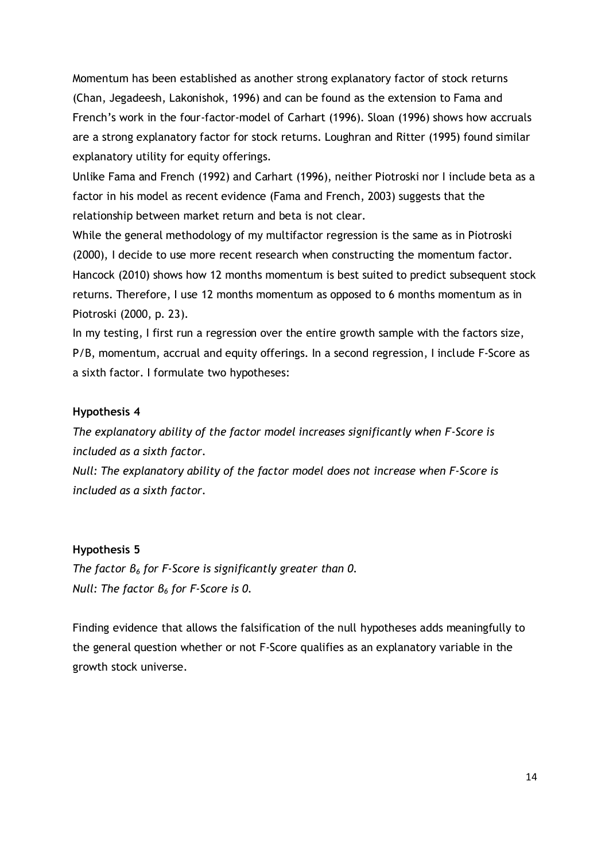Momentum has been established as another strong explanatory factor of stock returns (Chan, Jegadeesh, Lakonishok, 1996) and can be found as the extension to Fama and French's work in the four-factor-model of Carhart (1996). Sloan (1996) shows how accruals are a strong explanatory factor for stock returns. Loughran and Ritter (1995) found similar explanatory utility for equity offerings.

Unlike Fama and French (1992) and Carhart (1996), neither Piotroski nor I include beta as a factor in his model as recent evidence (Fama and French, 2003) suggests that the relationship between market return and beta is not clear.

While the general methodology of my multifactor regression is the same as in Piotroski (2000), I decide to use more recent research when constructing the momentum factor. Hancock (2010) shows how 12 months momentum is best suited to predict subsequent stock returns. Therefore, I use 12 months momentum as opposed to 6 months momentum as in Piotroski (2000, p. 23).

In my testing, I first run a regression over the entire growth sample with the factors size, P/B, momentum, accrual and equity offerings. In a second regression, I include F-Score as a sixth factor. I formulate two hypotheses:

## **Hypothesis 4**

*The explanatory ability of the factor model increases significantly when F-Score is included as a sixth factor.*

*Null: The explanatory ability of the factor model does not increase when F-Score is included as a sixth factor.*

#### **Hypothesis 5**

*The factor β<sup>6</sup> for F-Score is significantly greater than 0. Null: The factor β<sup>6</sup> for F-Score is 0.*

Finding evidence that allows the falsification of the null hypotheses adds meaningfully to the general question whether or not F-Score qualifies as an explanatory variable in the growth stock universe.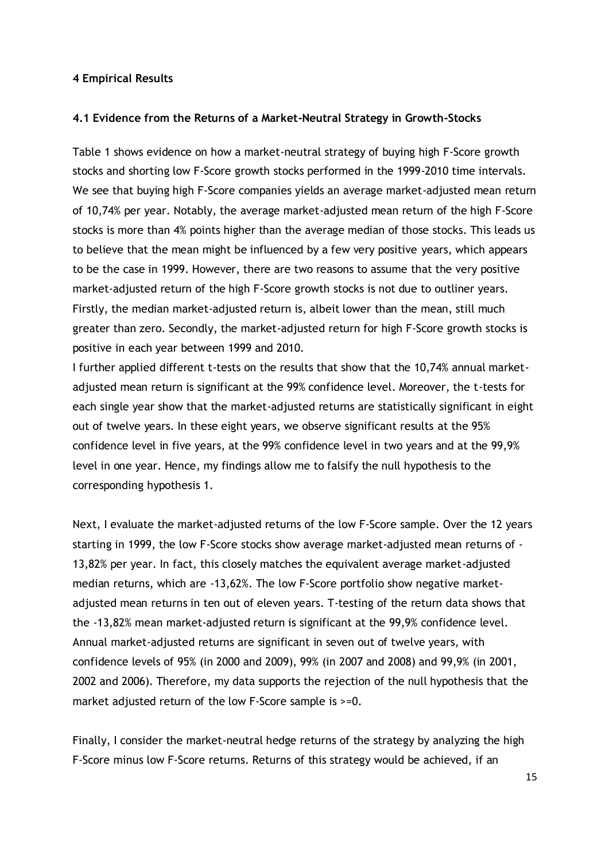#### **4 Empirical Results**

#### **4.1 Evidence from the Returns of a Market-Neutral Strategy in Growth-Stocks**

Table 1 shows evidence on how a market-neutral strategy of buying high F-Score growth stocks and shorting low F-Score growth stocks performed in the 1999-2010 time intervals. We see that buying high F-Score companies yields an average market-adjusted mean return of 10,74% per year. Notably, the average market-adjusted mean return of the high F-Score stocks is more than 4% points higher than the average median of those stocks. This leads us to believe that the mean might be influenced by a few very positive years, which appears to be the case in 1999. However, there are two reasons to assume that the very positive market-adjusted return of the high F-Score growth stocks is not due to outliner years. Firstly, the median market-adjusted return is, albeit lower than the mean, still much greater than zero. Secondly, the market-adjusted return for high F-Score growth stocks is positive in each year between 1999 and 2010.

I further applied different t-tests on the results that show that the 10,74% annual marketadjusted mean return is significant at the 99% confidence level. Moreover, the t-tests for each single year show that the market-adjusted returns are statistically significant in eight out of twelve years. In these eight years, we observe significant results at the 95% confidence level in five years, at the 99% confidence level in two years and at the 99,9% level in one year. Hence, my findings allow me to falsify the null hypothesis to the corresponding hypothesis 1.

Next, I evaluate the market-adjusted returns of the low F-Score sample. Over the 12 years starting in 1999, the low F-Score stocks show average market-adjusted mean returns of - 13,82% per year. In fact, this closely matches the equivalent average market-adjusted median returns, which are -13,62%. The low F-Score portfolio show negative marketadjusted mean returns in ten out of eleven years. T-testing of the return data shows that the -13,82% mean market-adjusted return is significant at the 99,9% confidence level. Annual market-adjusted returns are significant in seven out of twelve years, with confidence levels of 95% (in 2000 and 2009), 99% (in 2007 and 2008) and 99,9% (in 2001, 2002 and 2006). Therefore, my data supports the rejection of the null hypothesis that the market adjusted return of the low F-Score sample is  $>=0$ .

Finally, I consider the market-neutral hedge returns of the strategy by analyzing the high F-Score minus low F-Score returns. Returns of this strategy would be achieved, if an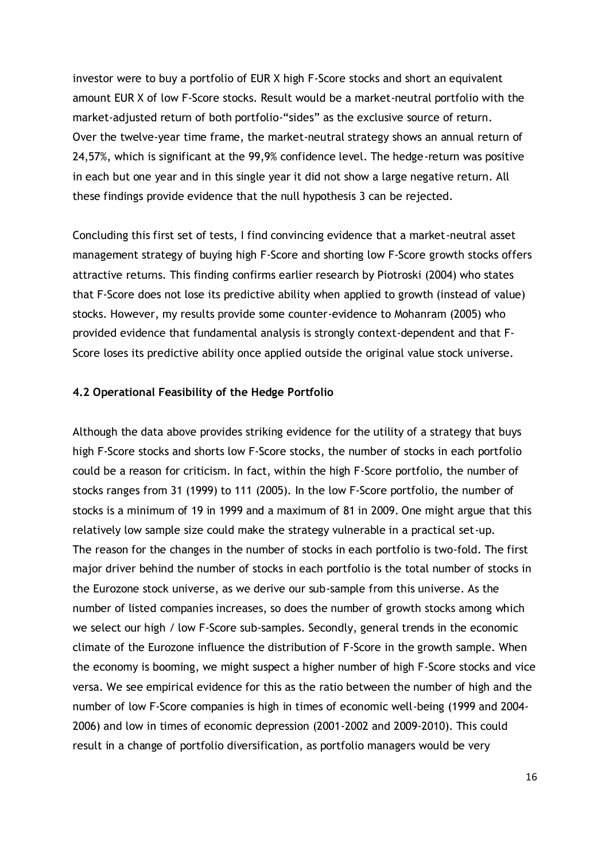investor were to buy a portfolio of EUR X high F-Score stocks and short an equivalent amount EUR X of low F-Score stocks. Result would be a market-neutral portfolio with the market-adjusted return of both portfolio-"sides" as the exclusive source of return. Over the twelve-year time frame, the market-neutral strategy shows an annual return of 24,57%, which is significant at the 99,9% confidence level. The hedge-return was positive in each but one year and in this single year it did not show a large negative return. All these findings provide evidence that the null hypothesis 3 can be rejected.

Concluding this first set of tests, I find convincing evidence that a market-neutral asset management strategy of buying high F-Score and shorting low F-Score growth stocks offers attractive returns. This finding confirms earlier research by Piotroski (2004) who states that F-Score does not lose its predictive ability when applied to growth (instead of value) stocks. However, my results provide some counter-evidence to Mohanram (2005) who provided evidence that fundamental analysis is strongly context-dependent and that F-Score loses its predictive ability once applied outside the original value stock universe.

#### **4.2 Operational Feasibility of the Hedge Portfolio**

Although the data above provides striking evidence for the utility of a strategy that buys high F-Score stocks and shorts low F-Score stocks, the number of stocks in each portfolio could be a reason for criticism. In fact, within the high F-Score portfolio, the number of stocks ranges from 31 (1999) to 111 (2005). In the low F-Score portfolio, the number of stocks is a minimum of 19 in 1999 and a maximum of 81 in 2009. One might argue that this relatively low sample size could make the strategy vulnerable in a practical set-up. The reason for the changes in the number of stocks in each portfolio is two-fold. The first major driver behind the number of stocks in each portfolio is the total number of stocks in the Eurozone stock universe, as we derive our sub-sample from this universe. As the number of listed companies increases, so does the number of growth stocks among which we select our high / low F-Score sub-samples. Secondly, general trends in the economic climate of the Eurozone influence the distribution of F-Score in the growth sample. When the economy is booming, we might suspect a higher number of high F-Score stocks and vice versa. We see empirical evidence for this as the ratio between the number of high and the number of low F-Score companies is high in times of economic well-being (1999 and 2004- 2006) and low in times of economic depression (2001-2002 and 2009-2010). This could result in a change of portfolio diversification, as portfolio managers would be very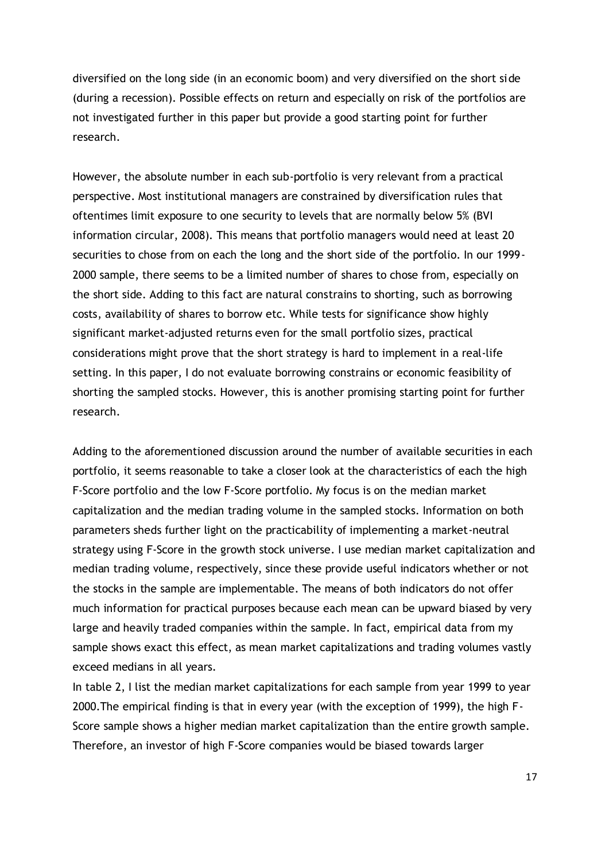diversified on the long side (in an economic boom) and very diversified on the short side (during a recession). Possible effects on return and especially on risk of the portfolios are not investigated further in this paper but provide a good starting point for further research.

However, the absolute number in each sub-portfolio is very relevant from a practical perspective. Most institutional managers are constrained by diversification rules that oftentimes limit exposure to one security to levels that are normally below 5% (BVI information circular, 2008). This means that portfolio managers would need at least 20 securities to chose from on each the long and the short side of the portfolio. In our 1999- 2000 sample, there seems to be a limited number of shares to chose from, especially on the short side. Adding to this fact are natural constrains to shorting, such as borrowing costs, availability of shares to borrow etc. While tests for significance show highly significant market-adjusted returns even for the small portfolio sizes, practical considerations might prove that the short strategy is hard to implement in a real-life setting. In this paper, I do not evaluate borrowing constrains or economic feasibility of shorting the sampled stocks. However, this is another promising starting point for further research.

Adding to the aforementioned discussion around the number of available securities in each portfolio, it seems reasonable to take a closer look at the characteristics of each the high F-Score portfolio and the low F-Score portfolio. My focus is on the median market capitalization and the median trading volume in the sampled stocks. Information on both parameters sheds further light on the practicability of implementing a market-neutral strategy using F-Score in the growth stock universe. I use median market capitalization and median trading volume, respectively, since these provide useful indicators whether or not the stocks in the sample are implementable. The means of both indicators do not offer much information for practical purposes because each mean can be upward biased by very large and heavily traded companies within the sample. In fact, empirical data from my sample shows exact this effect, as mean market capitalizations and trading volumes vastly exceed medians in all years.

In table 2, I list the median market capitalizations for each sample from year 1999 to year 2000.The empirical finding is that in every year (with the exception of 1999), the high F-Score sample shows a higher median market capitalization than the entire growth sample. Therefore, an investor of high F-Score companies would be biased towards larger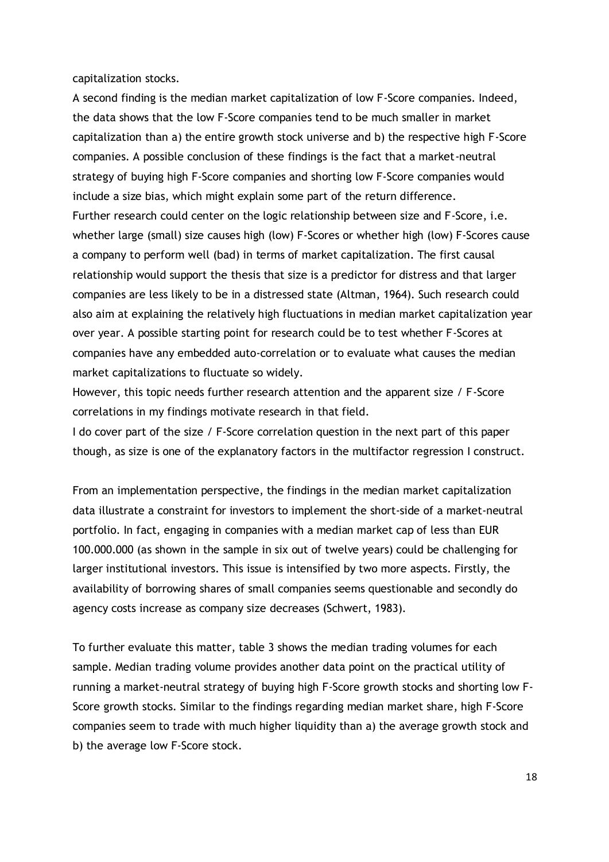capitalization stocks.

A second finding is the median market capitalization of low F-Score companies. Indeed, the data shows that the low F-Score companies tend to be much smaller in market capitalization than a) the entire growth stock universe and b) the respective high F-Score companies. A possible conclusion of these findings is the fact that a market-neutral strategy of buying high F-Score companies and shorting low F-Score companies would include a size bias, which might explain some part of the return difference. Further research could center on the logic relationship between size and F-Score, i.e. whether large (small) size causes high (low) F-Scores or whether high (low) F-Scores cause a company to perform well (bad) in terms of market capitalization. The first causal relationship would support the thesis that size is a predictor for distress and that larger companies are less likely to be in a distressed state (Altman, 1964). Such research could also aim at explaining the relatively high fluctuations in median market capitalization year over year. A possible starting point for research could be to test whether F-Scores at companies have any embedded auto-correlation or to evaluate what causes the median market capitalizations to fluctuate so widely.

However, this topic needs further research attention and the apparent size / F-Score correlations in my findings motivate research in that field.

I do cover part of the size / F-Score correlation question in the next part of this paper though, as size is one of the explanatory factors in the multifactor regression I construct.

From an implementation perspective, the findings in the median market capitalization data illustrate a constraint for investors to implement the short-side of a market-neutral portfolio. In fact, engaging in companies with a median market cap of less than EUR 100.000.000 (as shown in the sample in six out of twelve years) could be challenging for larger institutional investors. This issue is intensified by two more aspects. Firstly, the availability of borrowing shares of small companies seems questionable and secondly do agency costs increase as company size decreases (Schwert, 1983).

To further evaluate this matter, table 3 shows the median trading volumes for each sample. Median trading volume provides another data point on the practical utility of running a market-neutral strategy of buying high F-Score growth stocks and shorting low F-Score growth stocks. Similar to the findings regarding median market share, high F-Score companies seem to trade with much higher liquidity than a) the average growth stock and b) the average low F-Score stock.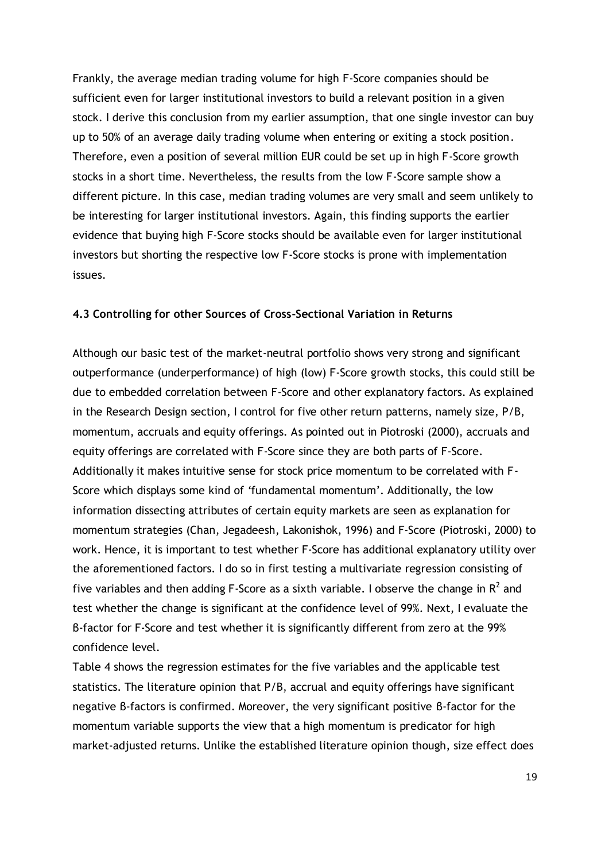Frankly, the average median trading volume for high F-Score companies should be sufficient even for larger institutional investors to build a relevant position in a given stock. I derive this conclusion from my earlier assumption, that one single investor can buy up to 50% of an average daily trading volume when entering or exiting a stock position. Therefore, even a position of several million EUR could be set up in high F-Score growth stocks in a short time. Nevertheless, the results from the low F-Score sample show a different picture. In this case, median trading volumes are very small and seem unlikely to be interesting for larger institutional investors. Again, this finding supports the earlier evidence that buying high F-Score stocks should be available even for larger institutional investors but shorting the respective low F-Score stocks is prone with implementation issues.

#### **4.3 Controlling for other Sources of Cross-Sectional Variation in Returns**

Although our basic test of the market-neutral portfolio shows very strong and significant outperformance (underperformance) of high (low) F-Score growth stocks, this could still be due to embedded correlation between F-Score and other explanatory factors. As explained in the Research Design section, I control for five other return patterns, namely size, P/B, momentum, accruals and equity offerings. As pointed out in Piotroski (2000), accruals and equity offerings are correlated with F-Score since they are both parts of F-Score. Additionally it makes intuitive sense for stock price momentum to be correlated with F-Score which displays some kind of 'fundamental momentum'. Additionally, the low information dissecting attributes of certain equity markets are seen as explanation for momentum strategies (Chan, Jegadeesh, Lakonishok, 1996) and F-Score (Piotroski, 2000) to work. Hence, it is important to test whether F-Score has additional explanatory utility over the aforementioned factors. I do so in first testing a multivariate regression consisting of five variables and then adding F-Score as a sixth variable. I observe the change in  $R^2$  and test whether the change is significant at the confidence level of 99%. Next, I evaluate the β-factor for F-Score and test whether it is significantly different from zero at the 99% confidence level.

Table 4 shows the regression estimates for the five variables and the applicable test statistics. The literature opinion that P/B, accrual and equity offerings have significant negative β-factors is confirmed. Moreover, the very significant positive β-factor for the momentum variable supports the view that a high momentum is predicator for high market-adjusted returns. Unlike the established literature opinion though, size effect does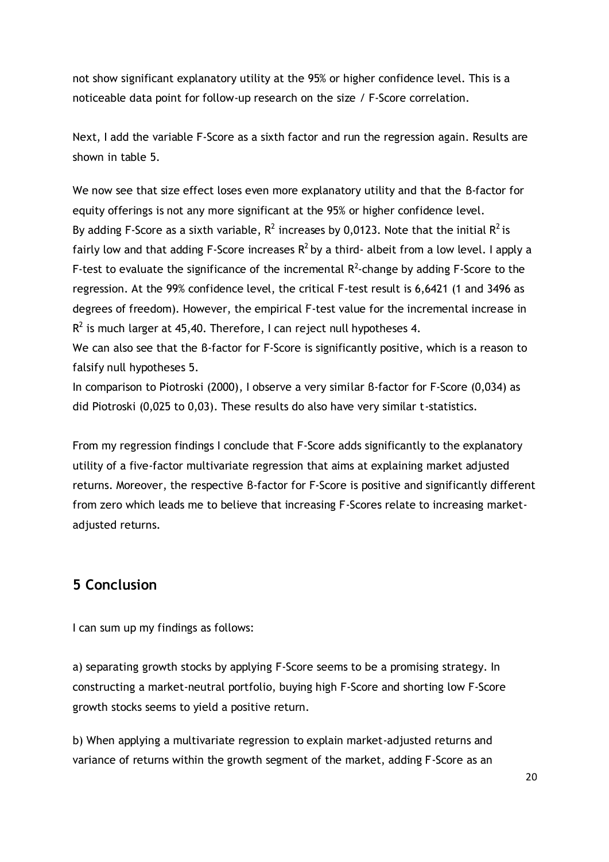not show significant explanatory utility at the 95% or higher confidence level. This is a noticeable data point for follow-up research on the size / F-Score correlation.

Next, I add the variable F-Score as a sixth factor and run the regression again. Results are shown in table 5.

We now see that size effect loses even more explanatory utility and that the β-factor for equity offerings is not any more significant at the 95% or higher confidence level. By adding F-Score as a sixth variable,  $R^2$  increases by 0,0123. Note that the initial  $R^2$  is fairly low and that adding F-Score increases  $R^2$  by a third- albeit from a low level. I apply a F-test to evaluate the significance of the incremental  $R^2$ -change by adding F-Score to the regression. At the 99% confidence level, the critical F-test result is 6,6421 (1 and 3496 as degrees of freedom). However, the empirical F-test value for the incremental increase in  $R^2$  is much larger at 45,40. Therefore, I can reject null hypotheses 4.

We can also see that the β-factor for F-Score is significantly positive, which is a reason to falsify null hypotheses 5.

In comparison to Piotroski (2000), I observe a very similar β-factor for F-Score (0,034) as did Piotroski (0,025 to 0,03). These results do also have very similar t-statistics.

From my regression findings I conclude that F-Score adds significantly to the explanatory utility of a five-factor multivariate regression that aims at explaining market adjusted returns. Moreover, the respective β-factor for F-Score is positive and significantly different from zero which leads me to believe that increasing F-Scores relate to increasing marketadjusted returns.

# **5 Conclusion**

I can sum up my findings as follows:

a) separating growth stocks by applying F-Score seems to be a promising strategy. In constructing a market-neutral portfolio, buying high F-Score and shorting low F-Score growth stocks seems to yield a positive return.

b) When applying a multivariate regression to explain market-adjusted returns and variance of returns within the growth segment of the market, adding F-Score as an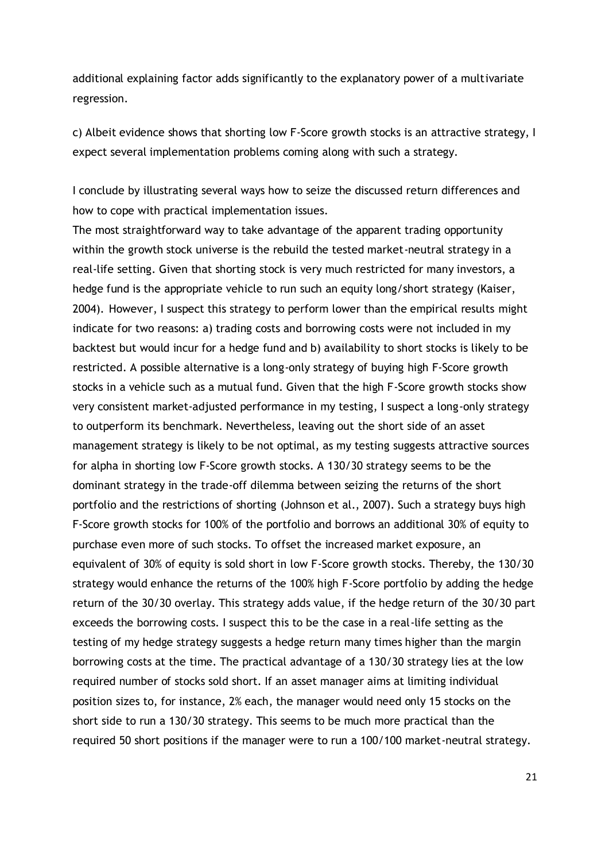additional explaining factor adds significantly to the explanatory power of a multivariate regression.

c) Albeit evidence shows that shorting low F-Score growth stocks is an attractive strategy, I expect several implementation problems coming along with such a strategy.

I conclude by illustrating several ways how to seize the discussed return differences and how to cope with practical implementation issues.

The most straightforward way to take advantage of the apparent trading opportunity within the growth stock universe is the rebuild the tested market-neutral strategy in a real-life setting. Given that shorting stock is very much restricted for many investors, a hedge fund is the appropriate vehicle to run such an equity long/short strategy (Kaiser, 2004). However, I suspect this strategy to perform lower than the empirical results might indicate for two reasons: a) trading costs and borrowing costs were not included in my backtest but would incur for a hedge fund and b) availability to short stocks is likely to be restricted. A possible alternative is a long-only strategy of buying high F-Score growth stocks in a vehicle such as a mutual fund. Given that the high F-Score growth stocks show very consistent market-adjusted performance in my testing, I suspect a long-only strategy to outperform its benchmark. Nevertheless, leaving out the short side of an asset management strategy is likely to be not optimal, as my testing suggests attractive sources for alpha in shorting low F-Score growth stocks. A 130/30 strategy seems to be the dominant strategy in the trade-off dilemma between seizing the returns of the short portfolio and the restrictions of shorting (Johnson et al., 2007). Such a strategy buys high F-Score growth stocks for 100% of the portfolio and borrows an additional 30% of equity to purchase even more of such stocks. To offset the increased market exposure, an equivalent of 30% of equity is sold short in low F-Score growth stocks. Thereby, the 130/30 strategy would enhance the returns of the 100% high F-Score portfolio by adding the hedge return of the 30/30 overlay. This strategy adds value, if the hedge return of the 30/30 part exceeds the borrowing costs. I suspect this to be the case in a real-life setting as the testing of my hedge strategy suggests a hedge return many times higher than the margin borrowing costs at the time. The practical advantage of a 130/30 strategy lies at the low required number of stocks sold short. If an asset manager aims at limiting individual position sizes to, for instance, 2% each, the manager would need only 15 stocks on the short side to run a 130/30 strategy. This seems to be much more practical than the required 50 short positions if the manager were to run a 100/100 market-neutral strategy.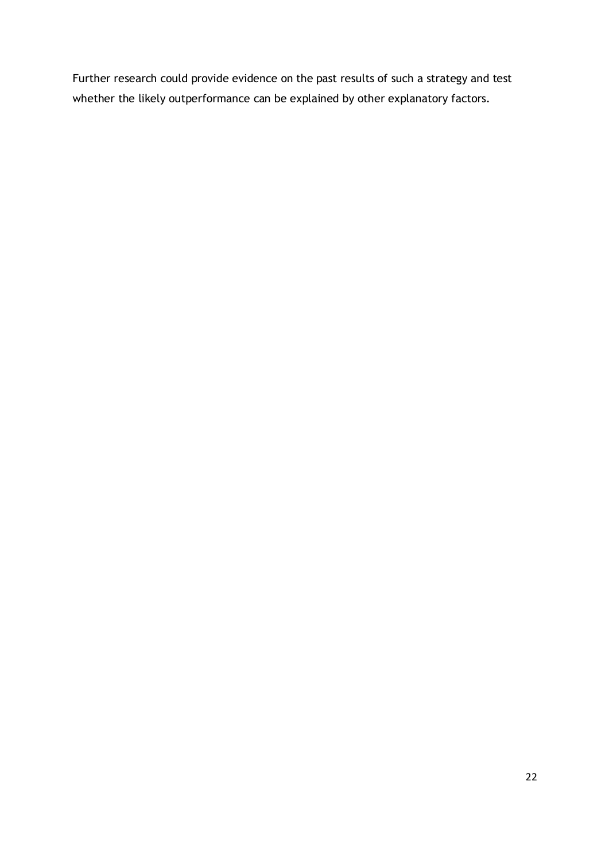Further research could provide evidence on the past results of such a strategy and test whether the likely outperformance can be explained by other explanatory factors.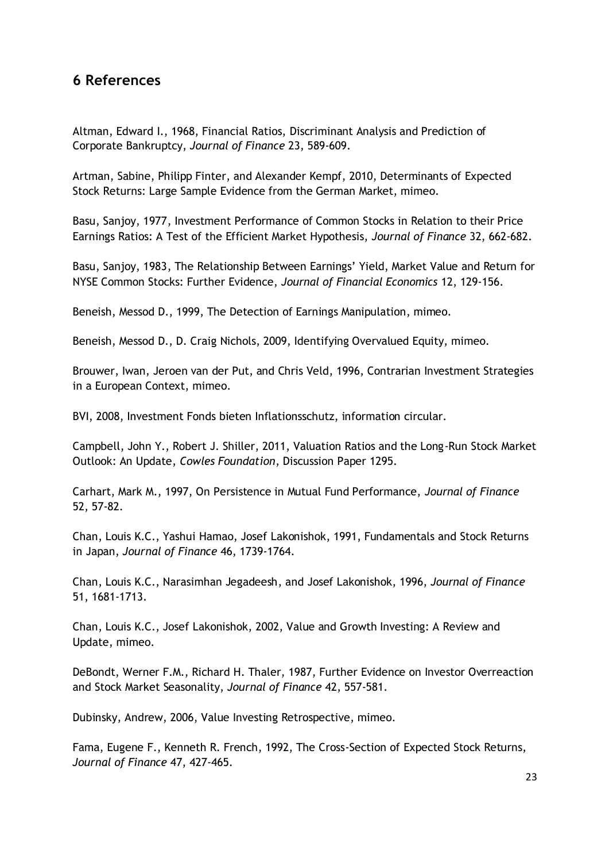# **6 References**

Altman, Edward I., 1968, Financial Ratios, Discriminant Analysis and Prediction of Corporate Bankruptcy, *Journal of Finance* 23, 589-609.

Artman, Sabine, Philipp Finter, and Alexander Kempf, 2010, Determinants of Expected Stock Returns: Large Sample Evidence from the German Market, mimeo.

Basu, Sanjoy, 1977, Investment Performance of Common Stocks in Relation to their Price Earnings Ratios: A Test of the Efficient Market Hypothesis, *Journal of Finance* 32, 662-682.

Basu, Sanjoy, 1983, The Relationship Between Earnings' Yield, Market Value and Return for NYSE Common Stocks: Further Evidence, *Journal of Financial Economics* 12, 129-156.

Beneish, Messod D., 1999, The Detection of Earnings Manipulation, mimeo.

Beneish, Messod D., D. Craig Nichols, 2009, Identifying Overvalued Equity, mimeo.

Brouwer, Iwan, Jeroen van der Put, and Chris Veld, 1996, Contrarian Investment Strategies in a European Context, mimeo.

BVI, 2008, Investment Fonds bieten Inflationsschutz, information circular.

Campbell, John Y., Robert J. Shiller, 2011, Valuation Ratios and the Long-Run Stock Market Outlook: An Update, *Cowles Foundation*, Discussion Paper 1295.

Carhart, Mark M., 1997, On Persistence in Mutual Fund Performance, *Journal of Finance* 52, 57-82.

Chan, Louis K.C., Yashui Hamao, Josef Lakonishok, 1991, Fundamentals and Stock Returns in Japan, *Journal of Finance* 46, 1739-1764.

Chan, Louis K.C., Narasimhan Jegadeesh, and Josef Lakonishok, 1996, *Journal of Finance* 51, 1681-1713.

Chan, Louis K.C., Josef Lakonishok, 2002, Value and Growth Investing: A Review and Update, mimeo.

DeBondt, Werner F.M., Richard H. Thaler, 1987, Further Evidence on Investor Overreaction and Stock Market Seasonality, *Journal of Finance* 42, 557-581.

Dubinsky, Andrew, 2006, Value Investing Retrospective, mimeo.

Fama, Eugene F., Kenneth R. French, 1992, The Cross-Section of Expected Stock Returns, *Journal of Finance* 47, 427-465.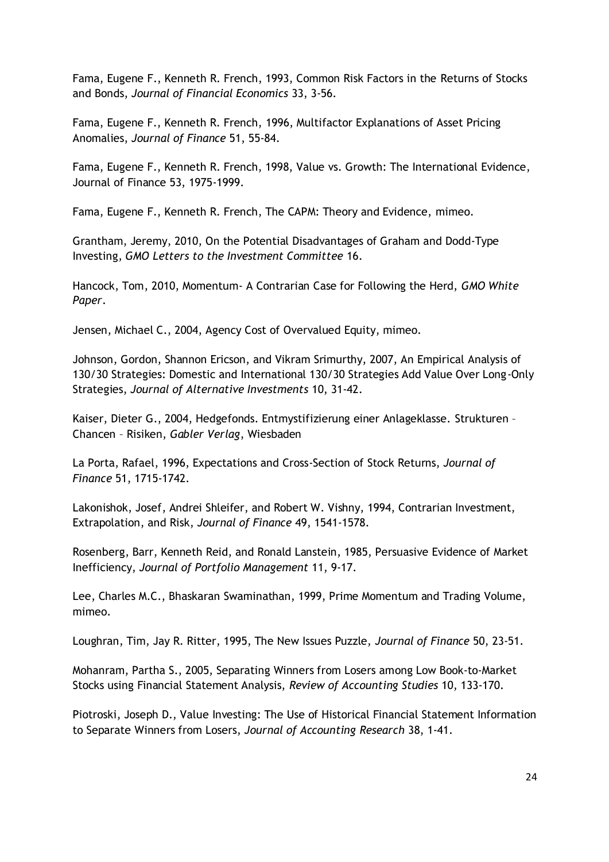Fama, Eugene F., Kenneth R. French, 1993, Common Risk Factors in the Returns of Stocks and Bonds, *Journal of Financial Economics* 33, 3-56.

Fama, Eugene F., Kenneth R. French, 1996, Multifactor Explanations of Asset Pricing Anomalies, *Journal of Finance* 51, 55-84.

Fama, Eugene F., Kenneth R. French, 1998, Value vs. Growth: The International Evidence, Journal of Finance 53, 1975-1999.

Fama, Eugene F., Kenneth R. French, The CAPM: Theory and Evidence, mimeo.

Grantham, Jeremy, 2010, On the Potential Disadvantages of Graham and Dodd-Type Investing, *GMO Letters to the Investment Committee* 16.

Hancock, Tom, 2010, Momentum- A Contrarian Case for Following the Herd, *GMO White Paper*.

Jensen, Michael C., 2004, Agency Cost of Overvalued Equity, mimeo.

Johnson, Gordon, Shannon Ericson, and Vikram Srimurthy, 2007, An Empirical Analysis of 130/30 Strategies: Domestic and International 130/30 Strategies Add Value Over Long-Only Strategies, *Journal of Alternative Investments* 10, 31-42.

Kaiser, Dieter G., 2004, Hedgefonds. Entmystifizierung einer Anlageklasse. Strukturen – Chancen – Risiken, *Gabler Verlag*, Wiesbaden

La Porta, Rafael, 1996, Expectations and Cross-Section of Stock Returns, *Journal of Finance* 51, 1715-1742.

Lakonishok, Josef, Andrei Shleifer, and Robert W. Vishny, 1994, Contrarian Investment, Extrapolation, and Risk, *Journal of Finance* 49, 1541-1578.

Rosenberg, Barr, Kenneth Reid, and Ronald Lanstein, 1985, Persuasive Evidence of Market Inefficiency, *Journal of Portfolio Management* 11, 9-17.

Lee, Charles M.C., Bhaskaran Swaminathan, 1999, Prime Momentum and Trading Volume, mimeo.

Loughran, Tim, Jay R. Ritter, 1995, The New Issues Puzzle, *Journal of Finance* 50, 23-51.

Mohanram, Partha S., 2005, Separating Winners from Losers among Low Book-to-Market Stocks using Financial Statement Analysis, *Review of Accounting Studies* 10, 133-170.

Piotroski, Joseph D., Value Investing: The Use of Historical Financial Statement Information to Separate Winners from Losers, *Journal of Accounting Research* 38, 1-41.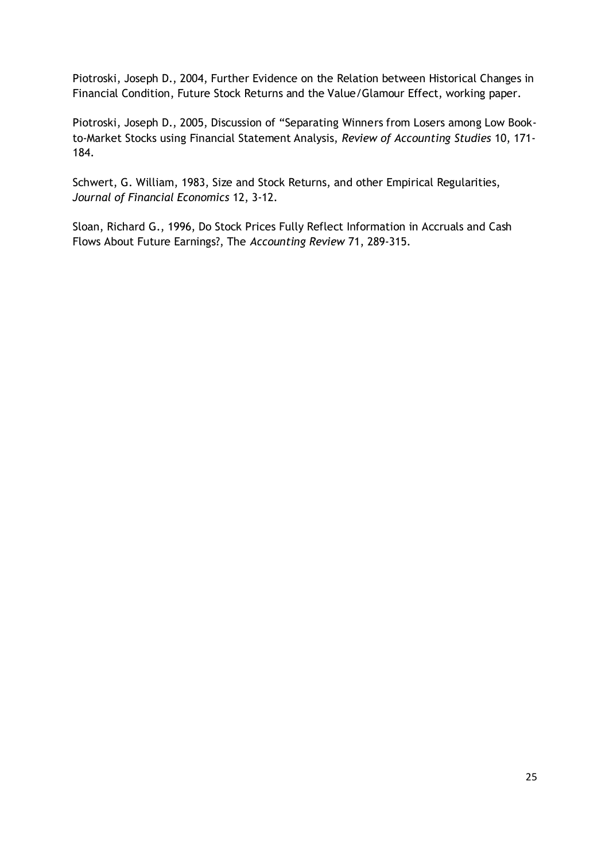Piotroski, Joseph D., 2004, Further Evidence on the Relation between Historical Changes in Financial Condition, Future Stock Returns and the Value/Glamour Effect, working paper.

Piotroski, Joseph D., 2005, Discussion of "Separating Winners from Losers among Low Bookto-Market Stocks using Financial Statement Analysis, *Review of Accounting Studies* 10, 171- 184.

Schwert, G. William, 1983, Size and Stock Returns, and other Empirical Regularities, *Journal of Financial Economics* 12, 3-12.

Sloan, Richard G., 1996, Do Stock Prices Fully Reflect Information in Accruals and Cash Flows About Future Earnings?, The *Accounting Review* 71, 289-315.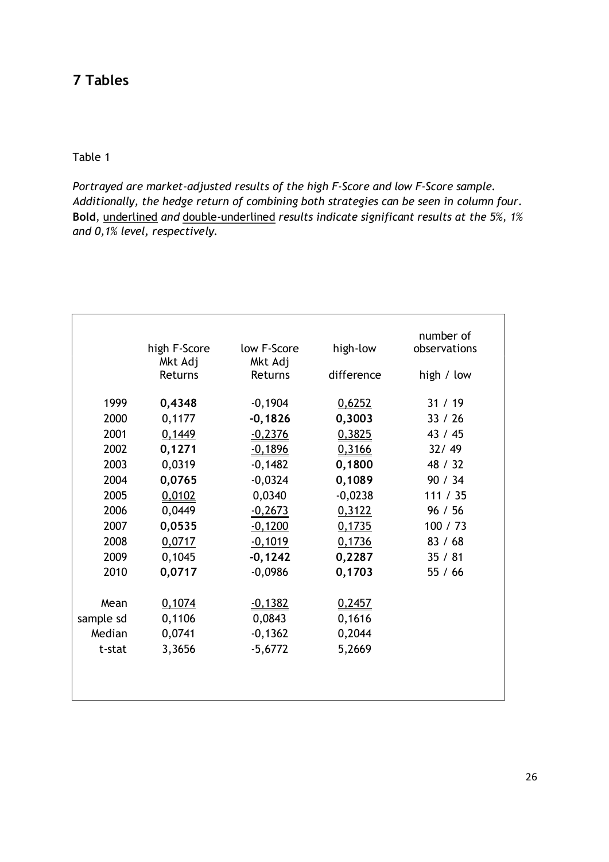## Table 1

*Portrayed are market-adjusted results of the high F-Score and low F-Score sample. Additionally, the hedge return of combining both strategies can be seen in column four.*  **Bold***,* underlined *and* double-underlined *results indicate significant results at the 5%, 1% and 0,1% level, respectively.* 

|           |              |             |            | number of    |
|-----------|--------------|-------------|------------|--------------|
|           | high F-Score | low F-Score | high-low   | observations |
|           | Mkt Adj      | Mkt Adj     |            |              |
|           | Returns      | Returns     | difference | high / low   |
| 1999      | 0,4348       | $-0,1904$   | 0,6252     | 31 / 19      |
| 2000      | 0,1177       | $-0,1826$   | 0,3003     | 33 / 26      |
| 2001      | 0,1449       | $-0,2376$   | 0,3825     | 43 / 45      |
| 2002      | 0,1271       | $-0,1896$   | 0,3166     | 32/49        |
| 2003      | 0,0319       | $-0,1482$   | 0,1800     | 48 / 32      |
| 2004      | 0,0765       | $-0,0324$   | 0,1089     | 90/34        |
|           |              |             |            |              |
| 2005      | 0,0102       | 0,0340      | $-0,0238$  | 111 / 35     |
| 2006      | 0,0449       | $-0,2673$   | 0,3122     | 96 / 56      |
| 2007      | 0,0535       | $-0,1200$   | 0,1735     | 100 / 73     |
| 2008      | 0,0717       | $-0,1019$   | 0,1736     | 83 / 68      |
| 2009      | 0,1045       | $-0,1242$   | 0,2287     | 35/81        |
| 2010      | 0,0717       | $-0,0986$   | 0,1703     | 55/66        |
|           |              |             |            |              |
| Mean      | 0,1074       | $-0,1382$   | 0,2457     |              |
| sample sd | 0,1106       | 0,0843      | 0,1616     |              |
| Median    | 0,0741       | $-0,1362$   | 0,2044     |              |
| t-stat    | 3,3656       | $-5,6772$   | 5,2669     |              |
|           |              |             |            |              |
|           |              |             |            |              |
|           |              |             |            |              |
|           |              |             |            |              |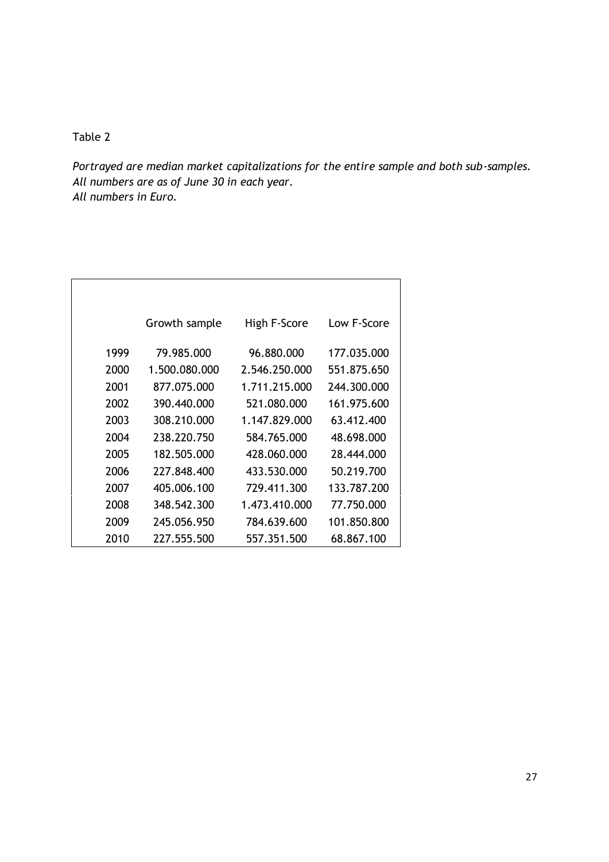*Portrayed are median market capitalizations for the entire sample and both sub-samples. All numbers are as of June 30 in each year. All numbers in Euro.* 

|      | Growth sample | High F-Score  | Low F-Score |
|------|---------------|---------------|-------------|
| 1999 | 79.985.000    | 96.880.000    | 177.035.000 |
| 2000 | 1.500.080.000 | 2.546.250.000 | 551.875.650 |
| 2001 | 877.075.000   | 1.711.215.000 | 244.300.000 |
| 2002 | 390.440.000   | 521.080.000   | 161.975.600 |
| 2003 | 308.210.000   | 1.147.829.000 | 63.412.400  |
| 2004 | 238.220.750   | 584.765.000   | 48.698.000  |
| 2005 | 182.505.000   | 428.060.000   | 28.444.000  |
| 2006 | 227.848.400   | 433.530.000   | 50.219.700  |
| 2007 | 405.006.100   | 729.411.300   | 133.787.200 |
| 2008 | 348.542.300   | 1.473.410.000 | 77.750.000  |
| 2009 | 245.056.950   | 784.639.600   | 101.850.800 |
| 2010 | 227.555.500   | 557.351.500   | 68.867.100  |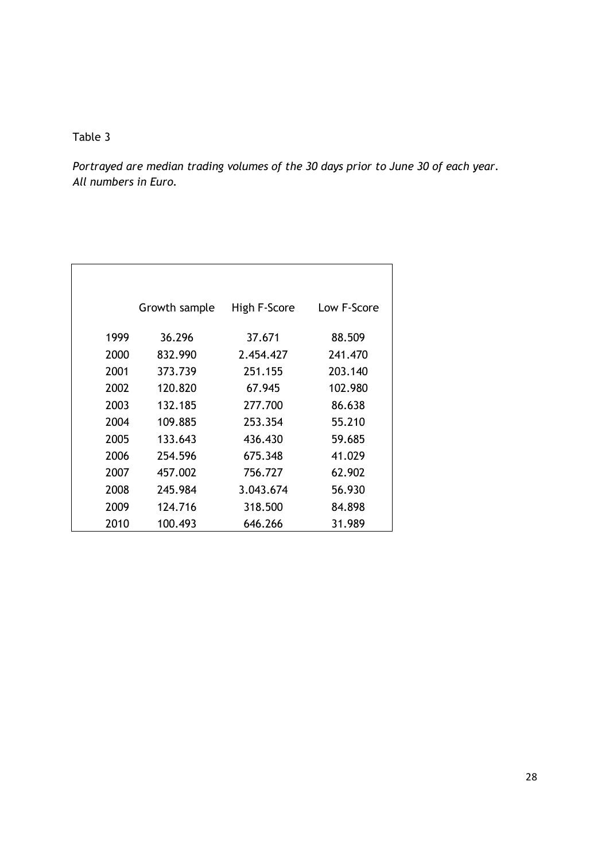*Portrayed are median trading volumes of the 30 days prior to June 30 of each year. All numbers in Euro.*

|      | Growth sample | High F-Score | Low F-Score |
|------|---------------|--------------|-------------|
| 1999 | 36.296        | 37.671       | 88.509      |
| 2000 | 832.990       | 2.454.427    | 241.470     |
| 2001 | 373.739       | 251.155      | 203.140     |
| 2002 | 120.820       | 67.945       | 102.980     |
| 2003 | 132.185       | 277.700      | 86.638      |
| 2004 | 109.885       | 253.354      | 55.210      |
| 2005 | 133.643       | 436.430      | 59.685      |
| 2006 | 254.596       | 675.348      | 41.029      |
| 2007 | 457.002       | 756.727      | 62.902      |
| 2008 | 245.984       | 3.043.674    | 56.930      |
| 2009 | 124.716       | 318.500      | 84.898      |
| 2010 | 100.493       | 646.266      | 31.989      |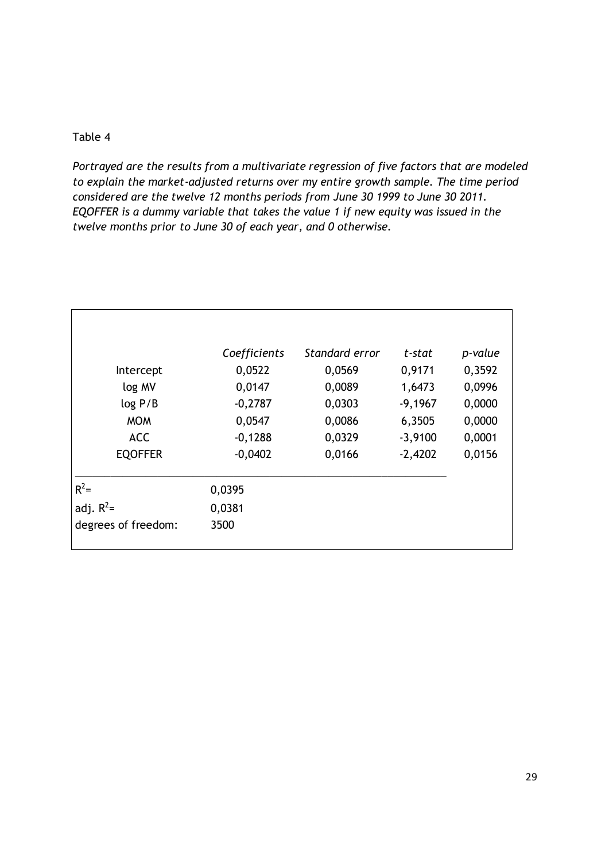*Portrayed are the results from a multivariate regression of five factors that are modeled to explain the market-adjusted returns over my entire growth sample. The time period considered are the twelve 12 months periods from June 30 1999 to June 30 2011. EQOFFER is a dummy variable that takes the value 1 if new equity was issued in the twelve months prior to June 30 of each year, and 0 otherwise.* 

|                     | Coefficients | Standard error | t-stat    | p-value |
|---------------------|--------------|----------------|-----------|---------|
| Intercept           | 0,0522       | 0,0569         | 0,9171    | 0,3592  |
| log MV              | 0,0147       | 0,0089         | 1,6473    | 0,0996  |
| log P/B             | $-0,2787$    | 0,0303         | $-9,1967$ | 0,0000  |
| <b>MOM</b>          | 0,0547       | 0,0086         | 6,3505    | 0,0000  |
| <b>ACC</b>          | $-0,1288$    | 0,0329         | $-3,9100$ | 0,0001  |
| <b>EQOFFER</b>      | $-0,0402$    | 0,0166         | $-2,4202$ | 0,0156  |
| $R^2=$              | 0,0395       |                |           |         |
| adj. $R^2$ =        | 0,0381       |                |           |         |
| degrees of freedom: | 3500         |                |           |         |